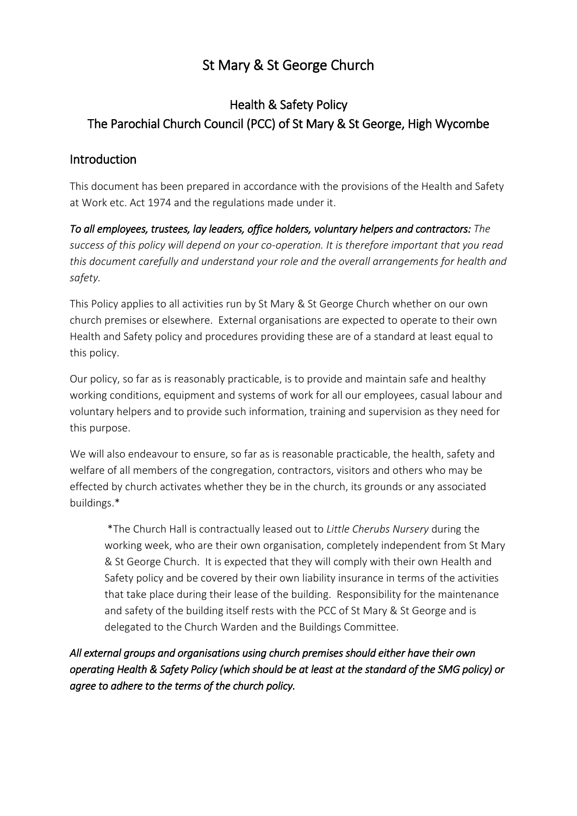# St Mary & St George Church

## Health & Safety Policy The Parochial Church Council (PCC) of St Mary & St George, High Wycombe

## Introduction

This document has been prepared in accordance with the provisions of the Health and Safety at Work etc. Act 1974 and the regulations made under it.

*To all employees, trustees, lay leaders, office holders, voluntary helpers and contractors: The success of this policy will depend on your co-operation. It is therefore important that you read this document carefully and understand your role and the overall arrangements for health and safety.*

This Policy applies to all activities run by St Mary & St George Church whether on our own church premises or elsewhere. External organisations are expected to operate to their own Health and Safety policy and procedures providing these are of a standard at least equal to this policy.

Our policy, so far as is reasonably practicable, is to provide and maintain safe and healthy working conditions, equipment and systems of work for all our employees, casual labour and voluntary helpers and to provide such information, training and supervision as they need for this purpose.

We will also endeavour to ensure, so far as is reasonable practicable, the health, safety and welfare of all members of the congregation, contractors, visitors and others who may be effected by church activates whether they be in the church, its grounds or any associated buildings.\*

\*The Church Hall is contractually leased out to *Little Cherubs Nursery* during the working week, who are their own organisation, completely independent from St Mary & St George Church. It is expected that they will comply with their own Health and Safety policy and be covered by their own liability insurance in terms of the activities that take place during their lease of the building. Responsibility for the maintenance and safety of the building itself rests with the PCC of St Mary & St George and is delegated to the Church Warden and the Buildings Committee.

*All external groups and organisations using church premises should either have their own operating Health & Safety Policy (which should be at least at the standard of the SMG policy) or agree to adhere to the terms of the church policy.*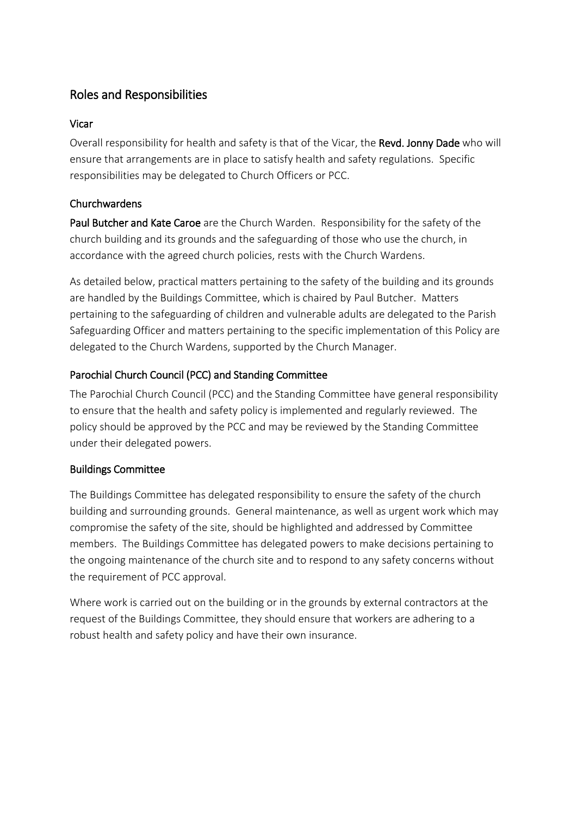## Roles and Responsibilities

## Vicar

Overall responsibility for health and safety is that of the Vicar, the Revd. Jonny Dade who will ensure that arrangements are in place to satisfy health and safety regulations. Specific responsibilities may be delegated to Church Officers or PCC.

## Churchwardens

Paul Butcher and Kate Caroe are the Church Warden. Responsibility for the safety of the church building and its grounds and the safeguarding of those who use the church, in accordance with the agreed church policies, rests with the Church Wardens.

As detailed below, practical matters pertaining to the safety of the building and its grounds are handled by the Buildings Committee, which is chaired by Paul Butcher. Matters pertaining to the safeguarding of children and vulnerable adults are delegated to the Parish Safeguarding Officer and matters pertaining to the specific implementation of this Policy are delegated to the Church Wardens, supported by the Church Manager.

## Parochial Church Council (PCC) and Standing Committee

The Parochial Church Council (PCC) and the Standing Committee have general responsibility to ensure that the health and safety policy is implemented and regularly reviewed. The policy should be approved by the PCC and may be reviewed by the Standing Committee under their delegated powers.

## Buildings Committee

The Buildings Committee has delegated responsibility to ensure the safety of the church building and surrounding grounds. General maintenance, as well as urgent work which may compromise the safety of the site, should be highlighted and addressed by Committee members. The Buildings Committee has delegated powers to make decisions pertaining to the ongoing maintenance of the church site and to respond to any safety concerns without the requirement of PCC approval.

Where work is carried out on the building or in the grounds by external contractors at the request of the Buildings Committee, they should ensure that workers are adhering to a robust health and safety policy and have their own insurance.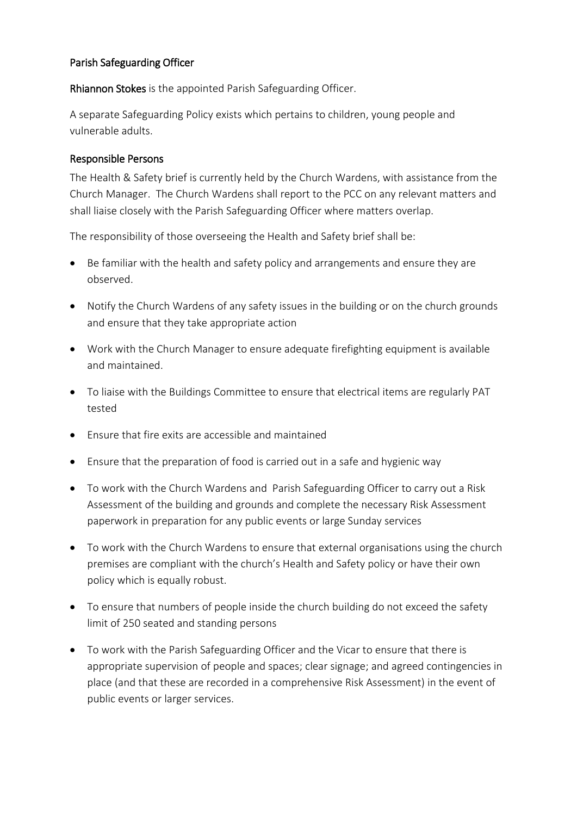#### Parish Safeguarding Officer

Rhiannon Stokes is the appointed Parish Safeguarding Officer.

A separate Safeguarding Policy exists which pertains to children, young people and vulnerable adults.

#### Responsible Persons

The Health & Safety brief is currently held by the Church Wardens, with assistance from the Church Manager. The Church Wardens shall report to the PCC on any relevant matters and shall liaise closely with the Parish Safeguarding Officer where matters overlap.

The responsibility of those overseeing the Health and Safety brief shall be:

- Be familiar with the health and safety policy and arrangements and ensure they are observed.
- Notify the Church Wardens of any safety issues in the building or on the church grounds and ensure that they take appropriate action
- Work with the Church Manager to ensure adequate firefighting equipment is available and maintained.
- To liaise with the Buildings Committee to ensure that electrical items are regularly PAT tested
- Ensure that fire exits are accessible and maintained
- Ensure that the preparation of food is carried out in a safe and hygienic way
- To work with the Church Wardens and Parish Safeguarding Officer to carry out a Risk Assessment of the building and grounds and complete the necessary Risk Assessment paperwork in preparation for any public events or large Sunday services
- To work with the Church Wardens to ensure that external organisations using the church premises are compliant with the church's Health and Safety policy or have their own policy which is equally robust.
- To ensure that numbers of people inside the church building do not exceed the safety limit of 250 seated and standing persons
- To work with the Parish Safeguarding Officer and the Vicar to ensure that there is appropriate supervision of people and spaces; clear signage; and agreed contingencies in place (and that these are recorded in a comprehensive Risk Assessment) in the event of public events or larger services.